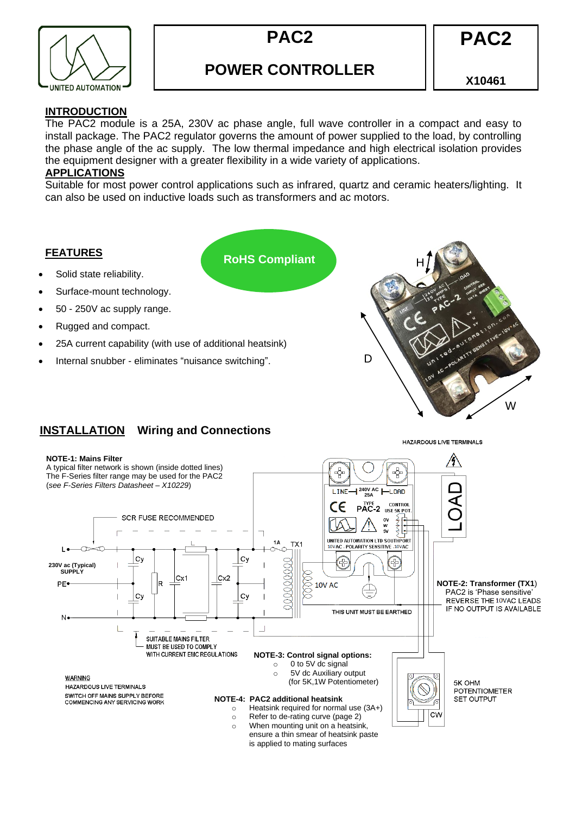

# **PAC2**

**PAC2**

# **POWER CONTROLLER**

**X10461**

## **INTRODUCTION**

The PAC2 module is a 25A, 230V ac phase angle, full wave controller in a compact and easy to install package. The PAC2 regulator governs the amount of power supplied to the load, by controlling the phase angle of the ac supply. The low thermal impedance and high electrical isolation provides the equipment designer with a greater flexibility in a wide variety of applications.

### **APPLICATIONS**

Suitable for most power control applications such as infrared, quartz and ceramic heaters/lighting. It can also be used on inductive loads such as transformers and ac motors.

**RoHS Compliant**

## **FEATURES**

- Solid state reliability.
- Surface-mount technology.
- 50 250V ac supply range.
- Rugged and compact.
- 25A current capability (with use of additional heatsink)
- Internal snubber eliminates "nuisance switching".



**HAZARDOUS LIVE TERMINALS** 

## **INSTALLATION Wiring and Connections**

#### **NOTE-1: Mains Filter**



is applied to mating surfaces